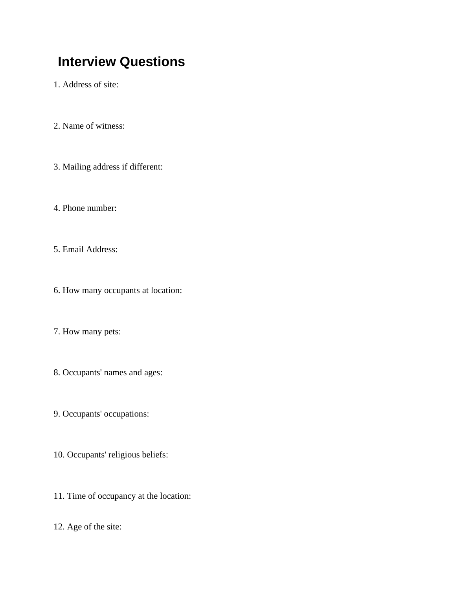## **Interview Questions**

1. Address of site:

- 2. Name of witness:
- 3. Mailing address if different:
- 4. Phone number:
- 5. Email Address:
- 6. How many occupants at location:
- 7. How many pets:
- 8. Occupants' names and ages:
- 9. Occupants' occupations:
- 10. Occupants' religious beliefs:
- 11. Time of occupancy at the location:
- 12. Age of the site: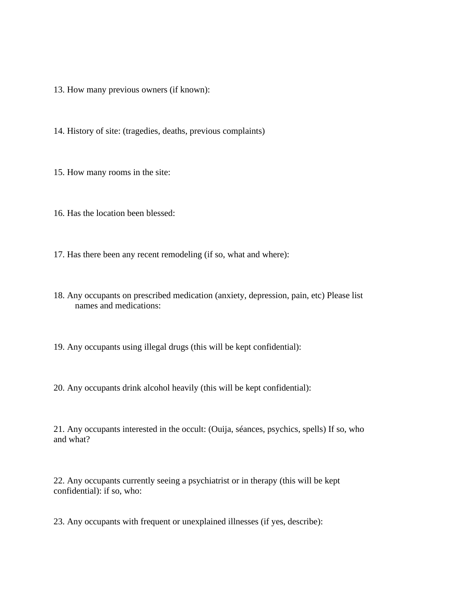13. How many previous owners (if known):

14. History of site: (tragedies, deaths, previous complaints)

15. How many rooms in the site:

16. Has the location been blessed:

17. Has there been any recent remodeling (if so, what and where):

18. Any occupants on prescribed medication (anxiety, depression, pain, etc) Please list names and medications:

19. Any occupants using illegal drugs (this will be kept confidential):

20. Any occupants drink alcohol heavily (this will be kept confidential):

21. Any occupants interested in the occult: (Ouija, séances, psychics, spells) If so, who and what?

22. Any occupants currently seeing a psychiatrist or in therapy (this will be kept confidential): if so, who:

23. Any occupants with frequent or unexplained illnesses (if yes, describe):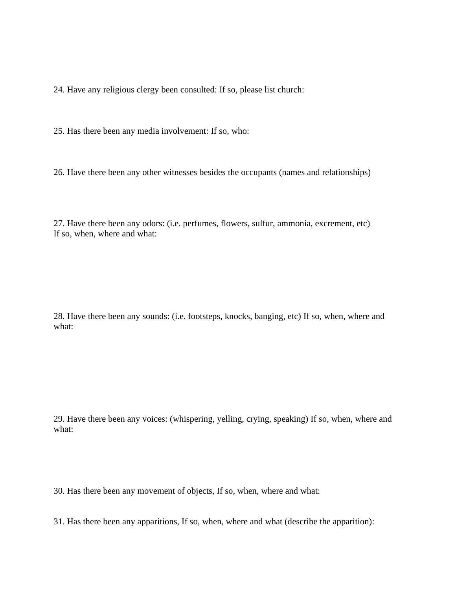24. Have any religious clergy been consulted: If so, please list church:

25. Has there been any media involvement: If so, who:

26. Have there been any other witnesses besides the occupants (names and relationships)

27. Have there been any odors: (i.e. perfumes, flowers, sulfur, ammonia, excrement, etc) If so, when, where and what:

28. Have there been any sounds: (i.e. footsteps, knocks, banging, etc) If so, when, where and what:

29. Have there been any voices: (whispering, yelling, crying, speaking) If so, when, where and what:

30. Has there been any movement of objects, If so, when, where and what:

31. Has there been any apparitions, If so, when, where and what (describe the apparition):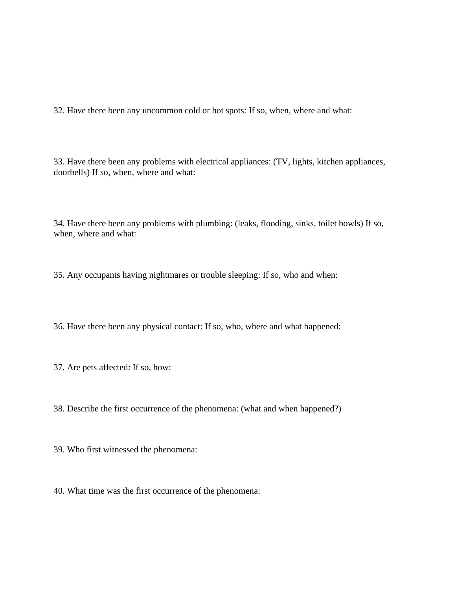32. Have there been any uncommon cold or hot spots: If so, when, where and what:

33. Have there been any problems with electrical appliances: (TV, lights, kitchen appliances, doorbells) If so, when, where and what:

34. Have there been any problems with plumbing: (leaks, flooding, sinks, toilet bowls) If so, when, where and what:

35. Any occupants having nightmares or trouble sleeping: If so, who and when:

36. Have there been any physical contact: If so, who, where and what happened:

37. Are pets affected: If so, how:

38. Describe the first occurrence of the phenomena: (what and when happened?)

39. Who first witnessed the phenomena:

40. What time was the first occurrence of the phenomena: